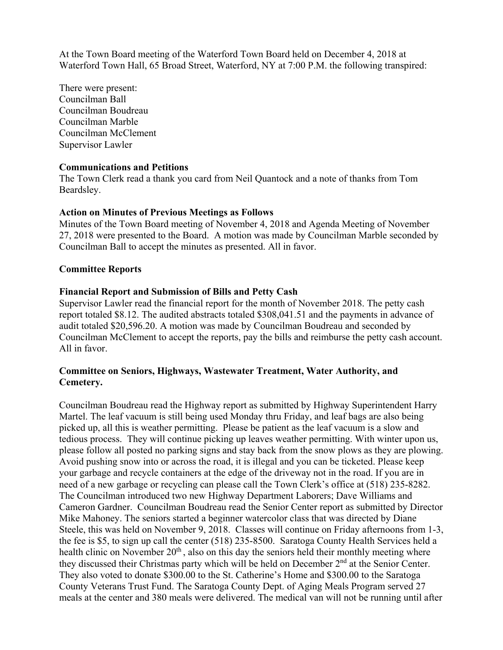At the Town Board meeting of the Waterford Town Board held on December 4, 2018 at Waterford Town Hall, 65 Broad Street, Waterford, NY at 7:00 P.M. the following transpired:

There were present: Councilman Ball Councilman Boudreau Councilman Marble Councilman McClement Supervisor Lawler

### **Communications and Petitions**

The Town Clerk read a thank you card from Neil Quantock and a note of thanks from Tom Beardsley.

### **Action on Minutes of Previous Meetings as Follows**

Minutes of the Town Board meeting of November 4, 2018 and Agenda Meeting of November 27, 2018 were presented to the Board. A motion was made by Councilman Marble seconded by Councilman Ball to accept the minutes as presented. All in favor.

### **Committee Reports**

### **Financial Report and Submission of Bills and Petty Cash**

Supervisor Lawler read the financial report for the month of November 2018. The petty cash report totaled \$8.12. The audited abstracts totaled \$308,041.51 and the payments in advance of audit totaled \$20,596.20. A motion was made by Councilman Boudreau and seconded by Councilman McClement to accept the reports, pay the bills and reimburse the petty cash account. All in favor.

## **Committee on Seniors, Highways, Wastewater Treatment, Water Authority, and Cemetery.**

Councilman Boudreau read the Highway report as submitted by Highway Superintendent Harry Martel. The leaf vacuum is still being used Monday thru Friday, and leaf bags are also being picked up, all this is weather permitting. Please be patient as the leaf vacuum is a slow and tedious process. They will continue picking up leaves weather permitting. With winter upon us, please follow all posted no parking signs and stay back from the snow plows as they are plowing. Avoid pushing snow into or across the road, it is illegal and you can be ticketed. Please keep your garbage and recycle containers at the edge of the driveway not in the road. If you are in need of a new garbage or recycling can please call the Town Clerk's office at (518) 235-8282. The Councilman introduced two new Highway Department Laborers; Dave Williams and Cameron Gardner. Councilman Boudreau read the Senior Center report as submitted by Director Mike Mahoney. The seniors started a beginner watercolor class that was directed by Diane Steele, this was held on November 9, 2018. Classes will continue on Friday afternoons from 1-3, the fee is \$5, to sign up call the center (518) 235-8500. Saratoga County Health Services held a health clinic on November  $20<sup>th</sup>$ , also on this day the seniors held their monthly meeting where they discussed their Christmas party which will be held on December 2<sup>nd</sup> at the Senior Center. They also voted to donate \$300.00 to the St. Catherine's Home and \$300.00 to the Saratoga County Veterans Trust Fund. The Saratoga County Dept. of Aging Meals Program served 27 meals at the center and 380 meals were delivered. The medical van will not be running until after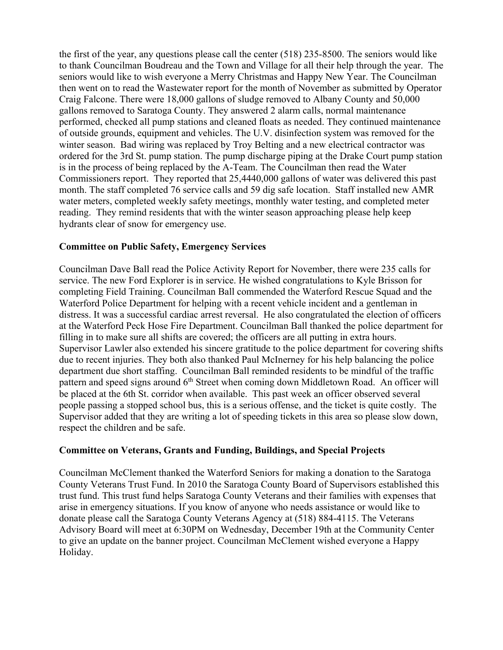the first of the year, any questions please call the center (518) 235-8500. The seniors would like to thank Councilman Boudreau and the Town and Village for all their help through the year. The seniors would like to wish everyone a Merry Christmas and Happy New Year. The Councilman then went on to read the Wastewater report for the month of November as submitted by Operator Craig Falcone. There were 18,000 gallons of sludge removed to Albany County and 50,000 gallons removed to Saratoga County. They answered 2 alarm calls, normal maintenance performed, checked all pump stations and cleaned floats as needed. They continued maintenance of outside grounds, equipment and vehicles. The U.V. disinfection system was removed for the winter season. Bad wiring was replaced by Troy Belting and a new electrical contractor was ordered for the 3rd St. pump station. The pump discharge piping at the Drake Court pump station is in the process of being replaced by the A-Team. The Councilman then read the Water Commissioners report. They reported that 25,4440,000 gallons of water was delivered this past month. The staff completed 76 service calls and 59 dig safe location. Staff installed new AMR water meters, completed weekly safety meetings, monthly water testing, and completed meter reading. They remind residents that with the winter season approaching please help keep hydrants clear of snow for emergency use.

# **Committee on Public Safety, Emergency Services**

Councilman Dave Ball read the Police Activity Report for November, there were 235 calls for service. The new Ford Explorer is in service. He wished congratulations to Kyle Brisson for completing Field Training. Councilman Ball commended the Waterford Rescue Squad and the Waterford Police Department for helping with a recent vehicle incident and a gentleman in distress. It was a successful cardiac arrest reversal. He also congratulated the election of officers at the Waterford Peck Hose Fire Department. Councilman Ball thanked the police department for filling in to make sure all shifts are covered; the officers are all putting in extra hours. Supervisor Lawler also extended his sincere gratitude to the police department for covering shifts due to recent injuries. They both also thanked Paul McInerney for his help balancing the police department due short staffing. Councilman Ball reminded residents to be mindful of the traffic pattern and speed signs around  $6<sup>th</sup>$  Street when coming down Middletown Road. An officer will be placed at the 6th St. corridor when available. This past week an officer observed several people passing a stopped school bus, this is a serious offense, and the ticket is quite costly. The Supervisor added that they are writing a lot of speeding tickets in this area so please slow down, respect the children and be safe.

# **Committee on Veterans, Grants and Funding, Buildings, and Special Projects**

Councilman McClement thanked the Waterford Seniors for making a donation to the Saratoga County Veterans Trust Fund. In 2010 the Saratoga County Board of Supervisors established this trust fund. This trust fund helps Saratoga County Veterans and their families with expenses that arise in emergency situations. If you know of anyone who needs assistance or would like to donate please call the Saratoga County Veterans Agency at (518) 884-4115. The Veterans Advisory Board will meet at 6:30PM on Wednesday, December 19th at the Community Center to give an update on the banner project. Councilman McClement wished everyone a Happy Holiday.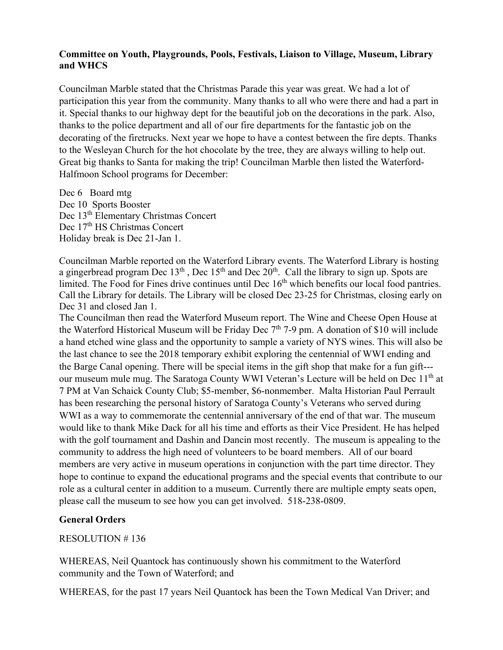# **Committee on Youth, Playgrounds, Pools, Festivals, Liaison to Village, Museum, Library and WHCS**

Councilman Marble stated that the Christmas Parade this year was great. We had a lot of participation this year from the community. Many thanks to all who were there and had a part in it. Special thanks to our highway dept for the beautiful job on the decorations in the park. Also, thanks to the police department and all of our fire departments for the fantastic job on the decorating of the firetrucks. Next year we hope to have a contest between the fire depts. Thanks to the Wesleyan Church for the hot chocolate by the tree, they are always willing to help out. Great big thanks to Santa for making the trip! Councilman Marble then listed the Waterford-Halfmoon School programs for December:

Dec 6 Board mtg Dec 10 Sports Booster Dec 13<sup>th</sup> Elementary Christmas Concert Dec 17<sup>th</sup> HS Christmas Concert Holiday break is Dec 21-Jan 1.

Councilman Marble reported on the Waterford Library events. The Waterford Library is hosting a gingerbread program Dec  $13<sup>th</sup>$ , Dec  $15<sup>th</sup>$  and Dec  $20<sup>th</sup>$ . Call the library to sign up. Spots are limited. The Food for Fines drive continues until Dec  $16<sup>th</sup>$  which benefits our local food pantries. Call the Library for details. The Library will be closed Dec 23-25 for Christmas, closing early on Dec 31 and closed Jan 1.

The Councilman then read the Waterford Museum report. The Wine and Cheese Open House at the Waterford Historical Museum will be Friday Dec  $7<sup>th</sup>$  7-9 pm. A donation of \$10 will include a hand etched wine glass and the opportunity to sample a variety of NYS wines. This will also be the last chance to see the 2018 temporary exhibit exploring the centennial of WWI ending and the Barge Canal opening. There will be special items in the gift shop that make for a fun gift-- our museum mule mug. The Saratoga County WWI Veteran's Lecture will be held on Dec 11<sup>th</sup> at 7 PM at Van Schaick County Club; \$5-member, \$6-nonmember. Malta Historian Paul Perrault has been researching the personal history of Saratoga County's Veterans who served during WWI as a way to commemorate the centennial anniversary of the end of that war. The museum would like to thank Mike Dack for all his time and efforts as their Vice President. He has helped with the golf tournament and Dashin and Dancin most recently. The museum is appealing to the community to address the high need of volunteers to be board members. All of our board members are very active in museum operations in conjunction with the part time director. They hope to continue to expand the educational programs and the special events that contribute to our role as a cultural center in addition to a museum. Currently there are multiple empty seats open, please call the museum to see how you can get involved. 518-238-0809.

# **General Orders**

RESOLUTION # 136

WHEREAS, Neil Quantock has continuously shown his commitment to the Waterford community and the Town of Waterford; and

WHEREAS, for the past 17 years Neil Quantock has been the Town Medical Van Driver; and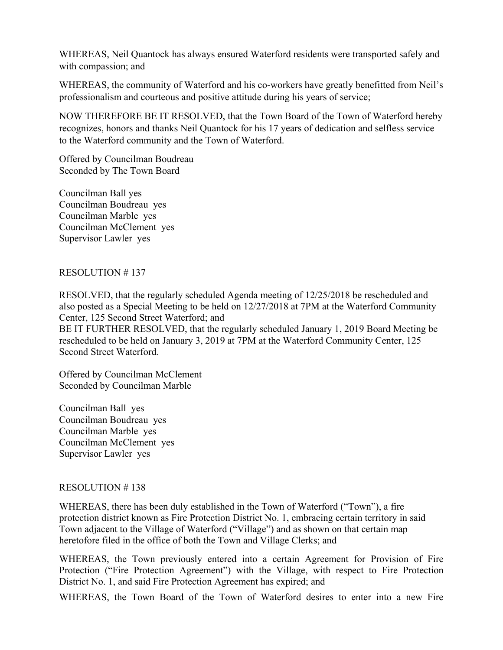WHEREAS, Neil Quantock has always ensured Waterford residents were transported safely and with compassion; and

WHEREAS, the community of Waterford and his co-workers have greatly benefitted from Neil's professionalism and courteous and positive attitude during his years of service;

NOW THEREFORE BE IT RESOLVED, that the Town Board of the Town of Waterford hereby recognizes, honors and thanks Neil Quantock for his 17 years of dedication and selfless service to the Waterford community and the Town of Waterford.

Offered by Councilman Boudreau Seconded by The Town Board

Councilman Ball yes Councilman Boudreau yes Councilman Marble yes Councilman McClement yes Supervisor Lawler yes

# RESOLUTION # 137

RESOLVED, that the regularly scheduled Agenda meeting of 12/25/2018 be rescheduled and also posted as a Special Meeting to be held on 12/27/2018 at 7PM at the Waterford Community Center, 125 Second Street Waterford; and BE IT FURTHER RESOLVED, that the regularly scheduled January 1, 2019 Board Meeting be

rescheduled to be held on January 3, 2019 at 7PM at the Waterford Community Center, 125 Second Street Waterford.

Offered by Councilman McClement Seconded by Councilman Marble

Councilman Ball yes Councilman Boudreau yes Councilman Marble yes Councilman McClement yes Supervisor Lawler yes

## RESOLUTION # 138

WHEREAS, there has been duly established in the Town of Waterford ("Town"), a fire protection district known as Fire Protection District No. 1, embracing certain territory in said Town adjacent to the Village of Waterford ("Village") and as shown on that certain map heretofore filed in the office of both the Town and Village Clerks; and

WHEREAS, the Town previously entered into a certain Agreement for Provision of Fire Protection ("Fire Protection Agreement") with the Village, with respect to Fire Protection District No. 1, and said Fire Protection Agreement has expired; and

WHEREAS, the Town Board of the Town of Waterford desires to enter into a new Fire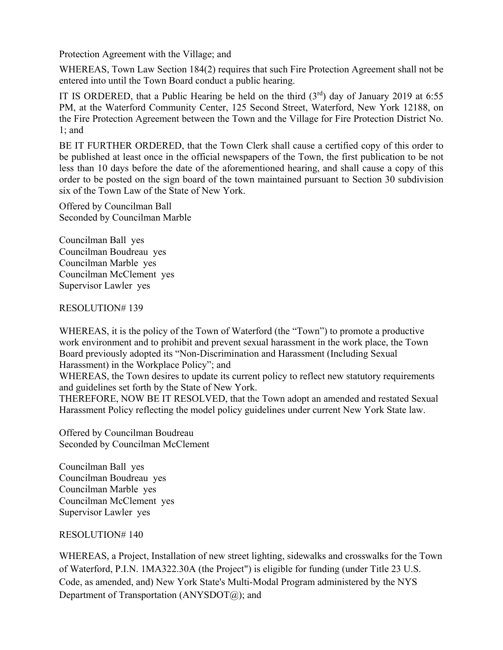Protection Agreement with the Village; and

WHEREAS, Town Law Section 184(2) requires that such Fire Protection Agreement shall not be entered into until the Town Board conduct a public hearing.

IT IS ORDERED, that a Public Hearing be held on the third  $(3<sup>rd</sup>)$  day of January 2019 at 6:55 PM, at the Waterford Community Center, 125 Second Street, Waterford, New York 12188, on the Fire Protection Agreement between the Town and the Village for Fire Protection District No. 1; and

BE IT FURTHER ORDERED, that the Town Clerk shall cause a certified copy of this order to be published at least once in the official newspapers of the Town, the first publication to be not less than 10 days before the date of the aforementioned hearing, and shall cause a copy of this order to be posted on the sign board of the town maintained pursuant to Section 30 subdivision six of the Town Law of the State of New York.

Offered by Councilman Ball Seconded by Councilman Marble

Councilman Ball yes Councilman Boudreau yes Councilman Marble yes Councilman McClement yes Supervisor Lawler yes

RESOLUTION# 139

WHEREAS, it is the policy of the Town of Waterford (the "Town") to promote a productive work environment and to prohibit and prevent sexual harassment in the work place, the Town Board previously adopted its "Non-Discrimination and Harassment (Including Sexual Harassment) in the Workplace Policy"; and

WHEREAS, the Town desires to update its current policy to reflect new statutory requirements and guidelines set forth by the State of New York.

THEREFORE, NOW BE IT RESOLVED, that the Town adopt an amended and restated Sexual Harassment Policy reflecting the model policy guidelines under current New York State law.

Offered by Councilman Boudreau Seconded by Councilman McClement

Councilman Ball yes Councilman Boudreau yes Councilman Marble yes Councilman McClement yes Supervisor Lawler yes

# RESOLUTION# 140

WHEREAS, a Project, Installation of new street lighting, sidewalks and crosswalks for the Town of Waterford, P.I.N. 1MA322.30A (the Project") is eligible for funding (under Title 23 U.S. Code, as amended, and) New York State's Multi-Modal Program administered by the NYS Department of Transportation (ANYSDOT@); and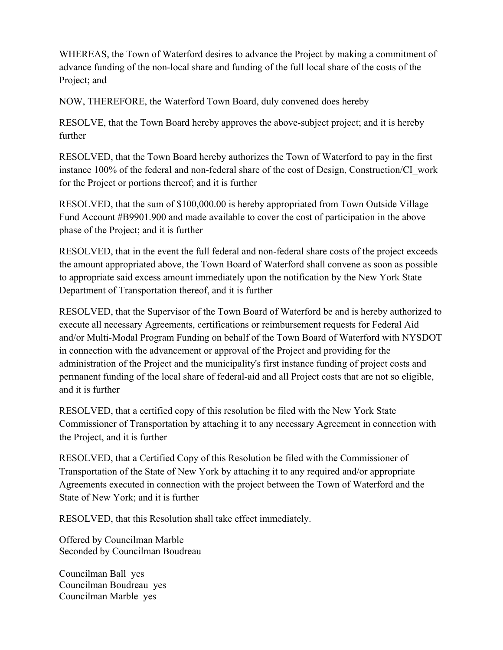WHEREAS, the Town of Waterford desires to advance the Project by making a commitment of advance funding of the non-local share and funding of the full local share of the costs of the Project; and

NOW, THEREFORE, the Waterford Town Board, duly convened does hereby

RESOLVE, that the Town Board hereby approves the above-subject project; and it is hereby further

RESOLVED, that the Town Board hereby authorizes the Town of Waterford to pay in the first instance 100% of the federal and non-federal share of the cost of Design, Construction/CI\_work for the Project or portions thereof; and it is further

RESOLVED, that the sum of \$100,000.00 is hereby appropriated from Town Outside Village Fund Account #B9901.900 and made available to cover the cost of participation in the above phase of the Project; and it is further

RESOLVED, that in the event the full federal and non-federal share costs of the project exceeds the amount appropriated above, the Town Board of Waterford shall convene as soon as possible to appropriate said excess amount immediately upon the notification by the New York State Department of Transportation thereof, and it is further

RESOLVED, that the Supervisor of the Town Board of Waterford be and is hereby authorized to execute all necessary Agreements, certifications or reimbursement requests for Federal Aid and/or Multi-Modal Program Funding on behalf of the Town Board of Waterford with NYSDOT in connection with the advancement or approval of the Project and providing for the administration of the Project and the municipality's first instance funding of project costs and permanent funding of the local share of federal-aid and all Project costs that are not so eligible, and it is further

RESOLVED, that a certified copy of this resolution be filed with the New York State Commissioner of Transportation by attaching it to any necessary Agreement in connection with the Project, and it is further

RESOLVED, that a Certified Copy of this Resolution be filed with the Commissioner of Transportation of the State of New York by attaching it to any required and/or appropriate Agreements executed in connection with the project between the Town of Waterford and the State of New York; and it is further

RESOLVED, that this Resolution shall take effect immediately.

Offered by Councilman Marble Seconded by Councilman Boudreau

Councilman Ball yes Councilman Boudreau yes Councilman Marble yes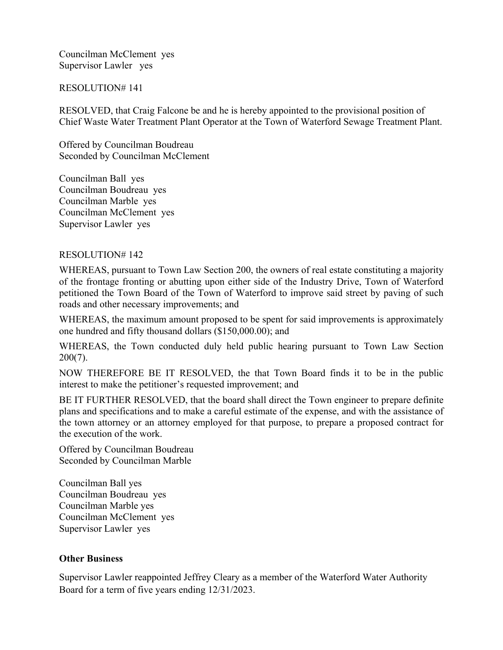Councilman McClement yes Supervisor Lawler yes

### RESOLUTION# 141

RESOLVED, that Craig Falcone be and he is hereby appointed to the provisional position of Chief Waste Water Treatment Plant Operator at the Town of Waterford Sewage Treatment Plant.

Offered by Councilman Boudreau Seconded by Councilman McClement

Councilman Ball yes Councilman Boudreau yes Councilman Marble yes Councilman McClement yes Supervisor Lawler yes

### RESOLUTION# 142

WHEREAS, pursuant to Town Law Section 200, the owners of real estate constituting a majority of the frontage fronting or abutting upon either side of the Industry Drive, Town of Waterford petitioned the Town Board of the Town of Waterford to improve said street by paving of such roads and other necessary improvements; and

WHEREAS, the maximum amount proposed to be spent for said improvements is approximately one hundred and fifty thousand dollars (\$150,000.00); and

WHEREAS, the Town conducted duly held public hearing pursuant to Town Law Section 200(7).

NOW THEREFORE BE IT RESOLVED, the that Town Board finds it to be in the public interest to make the petitioner's requested improvement; and

BE IT FURTHER RESOLVED, that the board shall direct the Town engineer to prepare definite plans and specifications and to make a careful estimate of the expense, and with the assistance of the town attorney or an attorney employed for that purpose, to prepare a proposed contract for the execution of the work.

Offered by Councilman Boudreau Seconded by Councilman Marble

Councilman Ball yes Councilman Boudreau yes Councilman Marble yes Councilman McClement yes Supervisor Lawler yes

## **Other Business**

Supervisor Lawler reappointed Jeffrey Cleary as a member of the Waterford Water Authority Board for a term of five years ending 12/31/2023.